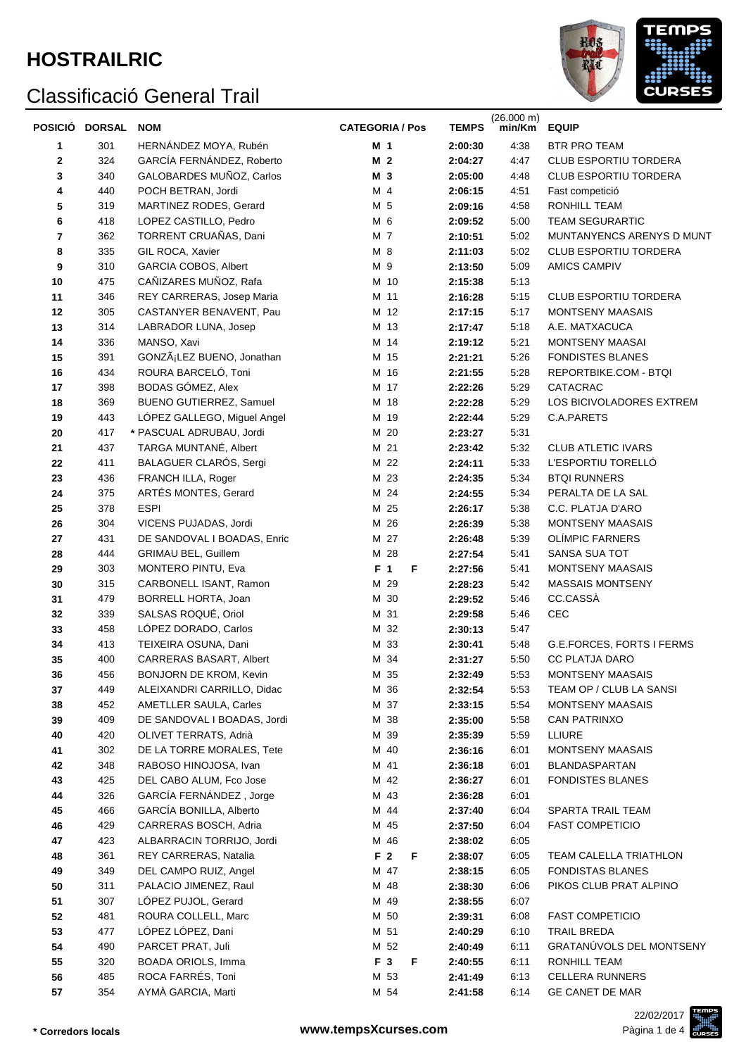# **HOSTRAILRIC**



|                         | POSICIÓ DORSAL | <b>NOM</b>                               | <b>CATEGORIA / Pos</b>   | <b>TEMPS</b>       | $(26.000 \text{ m})$<br>min/Km | <b>EQUIP</b>                                 |  |
|-------------------------|----------------|------------------------------------------|--------------------------|--------------------|--------------------------------|----------------------------------------------|--|
| 1                       | 301            | HERNÁNDEZ MOYA, Rubén                    | M 1                      | 2:00:30            | 4:38                           | BTR PRO TEAM                                 |  |
| $\mathbf 2$             | 324            | GARCÍA FERNÁNDEZ, Roberto                | M <sub>2</sub>           | 2:04:27            | 4:47                           | CLUB ESPORTIU TORDERA                        |  |
| 3                       | 340            | GALOBARDES MUÑOZ, Carlos                 | M 3                      | 2:05:00            | 4:48                           | CLUB ESPORTIU TORDERA                        |  |
| 4                       | 440            | POCH BETRAN, Jordi                       | M 4                      | 2:06:15            | 4:51                           | Fast competició                              |  |
| 5                       | 319            | MARTINEZ RODES, Gerard                   | M 5                      | 2:09:16            | 4:58                           | RONHILL TEAM                                 |  |
| 6                       | 418            | LOPEZ CASTILLO, Pedro                    | M 6                      | 2:09:52            | 5:00                           | TEAM SEGURARTIC                              |  |
| $\overline{\mathbf{r}}$ | 362            | TORRENT CRUAÑAS, Dani                    | M 7                      | 2:10:51            | 5:02                           | MUNTANYENCS ARENYS D MUNT                    |  |
| 8                       | 335            | GIL ROCA, Xavier                         | M 8                      | 2:11:03            | 5:02                           | CLUB ESPORTIU TORDERA                        |  |
| 9                       | 310            | GARCIA COBOS, Albert                     | M 9                      | 2:13:50            | 5:09                           | AMICS CAMPIV                                 |  |
| 10                      | 475            | CAÑIZARES MUÑOZ, Rafa                    | M 10                     | 2:15:38            | 5:13                           |                                              |  |
| 11                      | 346            | REY CARRERAS, Josep Maria                | M 11                     | 2:16:28            | 5:15                           | CLUB ESPORTIU TORDERA                        |  |
| 12                      | 305            | CASTANYER BENAVENT, Pau                  | M 12                     | 2:17:15            | 5:17                           | <b>MONTSENY MAASAIS</b>                      |  |
| 13                      | 314            | LABRADOR LUNA, Josep                     | M 13                     | 2:17:47            | 5:18                           | A.E. MATXACUCA                               |  |
| 14                      | 336            | MANSO, Xavi                              | M 14                     | 2:19:12            | 5:21                           | MONTSENY MAASAI                              |  |
| 15                      | 391            | GONZáLEZ BUENO, Jonathan                 | M 15                     | 2:21:21            | 5:26                           | <b>FONDISTES BLANES</b>                      |  |
| 16                      | 434            | ROURA BARCELÓ, Toni                      | M 16                     | 2:21:55            | 5:28                           | REPORTBIKE.COM - BTQI                        |  |
| 17                      | 398            | BODAS GÓMEZ, Alex                        | M 17                     | 2:22:26            | 5:29                           | CATACRAC                                     |  |
| 18                      | 369            | <b>BUENO GUTIERREZ, Samuel</b>           | M 18                     | 2:22:28            | 5:29                           | LOS BICIVOLADORES EXTREM                     |  |
| 19                      | 443            | LÓPEZ GALLEGO, Miguel Angel              | M 19                     | 2:22:44            | 5:29                           | C.A.PARETS                                   |  |
| 20                      | 417            | * PASCUAL ADRUBAU, Jordi                 | M 20                     | 2:23:27            | 5:31                           |                                              |  |
| 21                      | 437            | TARGA MUNTANÉ, Albert                    | M 21                     | 2:23:42            | 5:32                           | <b>CLUB ATLETIC IVARS</b>                    |  |
| 22                      | 411            | BALAGUER CLARÓS, Sergi                   | м<br>22                  | 2:24:11            | 5:33                           | L'ESPORTIU TORELLÓ                           |  |
| 23                      | 436            | FRANCH ILLA, Roger                       | 23<br>м                  | 2:24:35            | 5:34                           | <b>BTQI RUNNERS</b>                          |  |
| 24                      | 375            | ARTÉS MONTES, Gerard                     | 24<br>M                  | 2:24:55            | 5:34                           | PERALTA DE LA SAL                            |  |
| 25                      | 378            | <b>ESPI</b>                              | M 25                     | 2:26:17            | 5:38                           | C.C. PLATJA D'ARO                            |  |
| 26                      | 304            | VICENS PUJADAS, Jordi                    | 26<br>м                  | 2:26:39            | 5:38                           | <b>MONTSENY MAASAIS</b>                      |  |
| 27                      | 431            | DE SANDOVAL I BOADAS, Enric              | 27<br>м                  | 2:26:48            | 5:39                           | <b>OLÍMPIC FARNERS</b>                       |  |
| 28                      | 444            | <b>GRIMAU BEL, Guillem</b>               | M 28                     | 2:27:54            | 5:41                           | SANSA SUA TOT                                |  |
| 29                      | 303            | MONTERO PINTU, Eva                       | $\overline{1}$<br>F<br>F | 2:27:56            | 5:41                           | <b>MONTSENY MAASAIS</b>                      |  |
| 30                      | 315            | CARBONELL ISANT, Ramon                   | M 29                     | 2:28:23            | 5:42                           | <b>MASSAIS MONTSENY</b>                      |  |
| 31                      | 479            | BORRELL HORTA, Joan                      | M 30                     | 2:29:52            | 5:46                           | CC.CASSÀ                                     |  |
| 32                      | 339            | SALSAS ROQUÉ, Oriol                      | M 31                     | 2:29:58            | 5:46                           | CEC                                          |  |
| 33                      | 458            | LÓPEZ DORADO, Carlos                     | M 32                     | 2:30:13            | 5:47                           |                                              |  |
| 34                      | 413            | TEIXEIRA OSUNA, Dani                     | M 33                     | 2:30:41            | 5:48                           | G.E.FORCES, FORTS I FERMS                    |  |
| 35                      | 400            | CARRERAS BASART, Albert                  | M 34                     | 2:31:27            | 5:50                           | <b>CC PLATJA DARO</b>                        |  |
| 36                      | 456            | BONJORN DE KROM, Kevin                   | M 35                     | 2:32:49            | 5:53                           | MONTSENY MAASAIS                             |  |
| 37                      | 449            | ALEIXANDRI CARRILLO, Didac               | M 36                     | 2:32:54            | 5:53                           | TEAM OP / CLUB LA SANSI                      |  |
| 38                      | 452            | AMETLLER SAULA, Carles                   | M 37                     | 2:33:15            | 5:54                           | <b>MONTSENY MAASAIS</b>                      |  |
| 39                      | 409            | DE SANDOVAL I BOADAS, Jordi              | M 38                     | 2:35:00            | 5:58                           | <b>CAN PATRINXO</b>                          |  |
| 40                      | 420            | OLIVET TERRATS, Adrià                    | M 39                     | 2:35:39            | 5:59                           | LLIURE                                       |  |
| 41                      | 302            | DE LA TORRE MORALES, Tete                | M 40                     | 2:36:16            | 6:01                           | <b>MONTSENY MAASAIS</b>                      |  |
| 42                      | 348            | RABOSO HINOJOSA, Ivan                    | M 41                     | 2:36:18            | 6:01                           | BLANDASPARTAN                                |  |
| 43                      | 425            | DEL CABO ALUM, Fco Jose                  | M 42                     | 2:36:27            | 6:01                           | <b>FONDISTES BLANES</b>                      |  |
| 44                      | 326            | GARCÍA FERNÁNDEZ, Jorge                  | M 43                     | 2:36:28            | 6:01                           |                                              |  |
| 45                      | 466            | GARCÍA BONILLA, Alberto                  | M 44                     | 2:37:40            | 6:04                           | SPARTA TRAIL TEAM                            |  |
| 46                      | 429            | CARRERAS BOSCH, Adria                    | M 45                     | 2:37:50            | 6:04                           | <b>FAST COMPETICIO</b>                       |  |
| 47                      | 423            | ALBARRACIN TORRIJO, Jordi                | M 46                     | 2:38:02            | 6:05                           |                                              |  |
| 48                      | 361            | REY CARRERAS, Natalia                    | F <sub>2</sub><br>F      | 2:38:07            | 6:05                           | TEAM CALELLA TRIATHLON                       |  |
| 49                      | 349            | DEL CAMPO RUIZ, Angel                    | M 47                     | 2:38:15            | 6:05                           | <b>FONDISTAS BLANES</b>                      |  |
| 50                      | 311            | PALACIO JIMENEZ, Raul                    | M 48                     | 2:38:30            | 6:06                           | PIKOS CLUB PRAT ALPINO                       |  |
| 51                      | 307            | LÓPEZ PUJOL, Gerard                      | M 49                     | 2:38:55            | 6:07                           |                                              |  |
| 52<br>53                | 481<br>477     | ROURA COLLELL, Marc<br>LÓPEZ LÓPEZ, Dani | M 50<br>M 51             | 2:39:31<br>2:40:29 | 6:08<br>6:10                   | <b>FAST COMPETICIO</b><br><b>TRAIL BREDA</b> |  |
| 54                      | 490            | PARCET PRAT, Juli                        | M 52                     | 2:40:49            | 6:11                           | GRATANÚVOLS DEL MONTSENY                     |  |
| 55                      | 320            | BOADA ORIOLS, Imma                       | F 3<br>F                 | 2:40:55            | 6:11                           | RONHILL TEAM                                 |  |
| 56                      | 485            | ROCA FARRÉS, Toni                        | M 53                     | 2:41:49            | 6:13                           | <b>CELLERA RUNNERS</b>                       |  |
| 57                      | 354            | AYMÀ GARCIA, Marti                       | M 54                     | 2:41:58            | 6:14                           | GE CANET DE MAR                              |  |
|                         |                |                                          |                          |                    |                                |                                              |  |

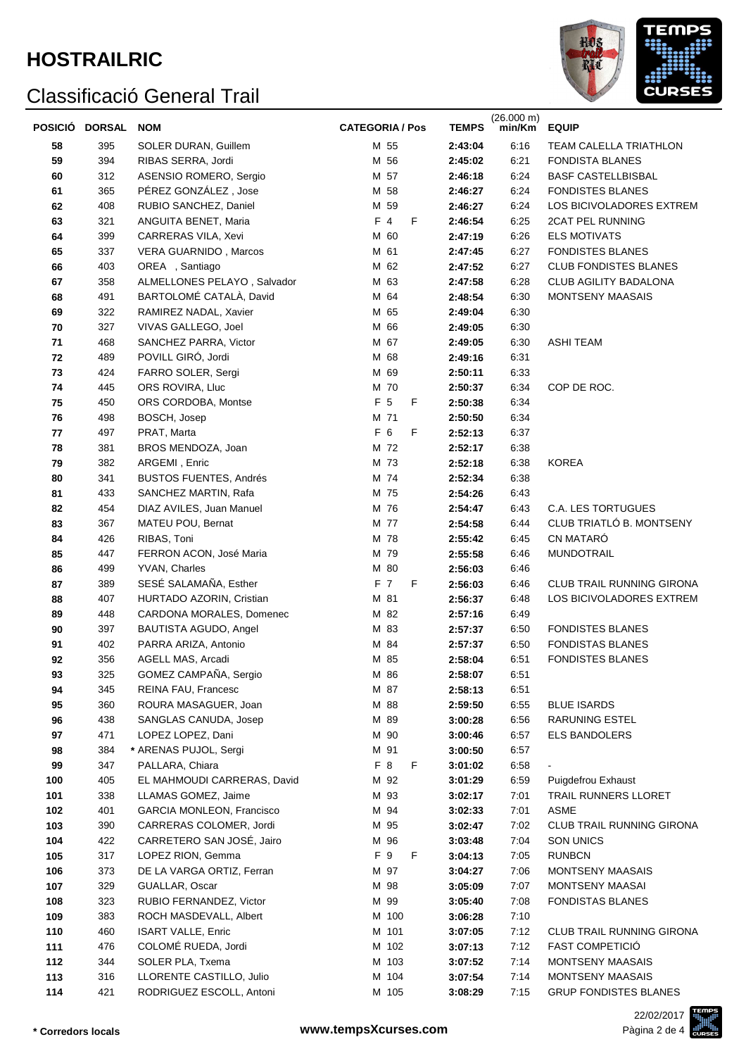# **HOSTRAILRIC**



|     | POSICIÓ DORSAL | <b>NOM</b>                       | <b>CATEGORIA / Pos</b> | <b>TEMPS</b> | (26.000 m)<br>min/Km | <b>EQUIP</b>                 |  |  |
|-----|----------------|----------------------------------|------------------------|--------------|----------------------|------------------------------|--|--|
| 58  | 395            | SOLER DURAN, Guillem             | M 55                   | 2:43:04      | 6:16                 | TEAM CALELLA TRIATHLON       |  |  |
| 59  | 394            | RIBAS SERRA, Jordi               | M 56                   | 2:45:02      | 6:21                 | <b>FONDISTA BLANES</b>       |  |  |
| 60  | 312            | ASENSIO ROMERO, Sergio           | M 57                   | 2:46:18      | 6:24                 | <b>BASF CASTELLBISBAL</b>    |  |  |
| 61  | 365            | PÉREZ GONZÁLEZ, Jose             | M 58                   | 2:46:27      | 6:24                 | <b>FONDISTES BLANES</b>      |  |  |
| 62  | 408            | RUBIO SANCHEZ, Daniel            | M 59                   | 2:46:27      | 6:24                 | LOS BICIVOLADORES EXTREM     |  |  |
| 63  | 321            | ANGUITA BENET, Maria             | $F$ 4<br>F             | 2:46:54      | 6:25                 | <b>2CAT PEL RUNNING</b>      |  |  |
| 64  | 399            | CARRERAS VILA, Xevi              | M 60                   | 2:47:19      | 6:26                 | <b>ELS MOTIVATS</b>          |  |  |
| 65  | 337            | VERA GUARNIDO, Marcos            | M 61                   | 2:47:45      | 6:27                 | <b>FONDISTES BLANES</b>      |  |  |
| 66  | 403            | OREA, Santiago                   | M 62                   | 2:47:52      | 6:27                 | <b>CLUB FONDISTES BLANES</b> |  |  |
| 67  | 358            | ALMELLONES PELAYO, Salvador      | M 63                   | 2:47:58      | 6:28                 | CLUB AGILITY BADALONA        |  |  |
| 68  | 491            | BARTOLOMÉ CATALÀ, David          | M 64                   | 2:48:54      | 6:30                 | <b>MONTSENY MAASAIS</b>      |  |  |
| 69  | 322            | RAMIREZ NADAL, Xavier            | M 65                   | 2:49:04      | 6:30                 |                              |  |  |
| 70  | 327            | VIVAS GALLEGO, Joel              | M 66                   | 2:49:05      | 6:30                 |                              |  |  |
| 71  | 468            | SANCHEZ PARRA, Victor            | M 67                   | 2:49:05      | 6:30                 | <b>ASHI TEAM</b>             |  |  |
| 72  | 489            | POVILL GIRÓ, Jordi               | M 68                   | 2:49:16      | 6:31                 |                              |  |  |
| 73  | 424            | FARRO SOLER, Sergi               | M 69                   | 2:50:11      | 6:33                 |                              |  |  |
| 74  | 445            | ORS ROVIRA, Lluc                 | M 70                   | 2:50:37      | 6:34                 | COP DE ROC.                  |  |  |
| 75  | 450            | ORS CORDOBA, Montse              | F 5<br>F               | 2:50:38      | 6:34                 |                              |  |  |
| 76  | 498            | BOSCH, Josep                     | M 71                   | 2:50:50      | 6:34                 |                              |  |  |
| 77  | 497            | PRAT, Marta                      | F 6<br>F               | 2:52:13      | 6:37                 |                              |  |  |
| 78  | 381            | BROS MENDOZA, Joan               | M 72                   | 2:52:17      | 6:38                 |                              |  |  |
| 79  | 382            | ARGEMI, Enric                    | M 73                   | 2:52:18      | 6:38                 | <b>KOREA</b>                 |  |  |
| 80  | 341            | <b>BUSTOS FUENTES, Andrés</b>    | M 74                   | 2:52:34      | 6:38                 |                              |  |  |
| 81  | 433            | SANCHEZ MARTIN, Rafa             | M 75                   | 2:54:26      | 6:43                 |                              |  |  |
| 82  | 454            | DIAZ AVILES, Juan Manuel         | M 76                   | 2:54:47      | 6:43                 | C.A. LES TORTUGUES           |  |  |
| 83  | 367            | MATEU POU, Bernat                | M 77                   | 2:54:58      | 6:44                 | CLUB TRIATLÓ B. MONTSENY     |  |  |
| 84  | 426            | RIBAS, Toni                      | M 78                   | 2:55:42      | 6:45                 | CN MATARÓ                    |  |  |
| 85  | 447            | FERRON ACON, José Maria          | M 79                   | 2:55:58      | 6:46                 | <b>MUNDOTRAIL</b>            |  |  |
| 86  | 499            | YVAN, Charles                    | M 80                   | 2:56:03      | 6:46                 |                              |  |  |
| 87  | 389            | SESÉ SALAMAÑA, Esther            | F 7<br>F               | 2:56:03      | 6:46                 | CLUB TRAIL RUNNING GIRONA    |  |  |
| 88  | 407            | HURTADO AZORIN, Cristian         | M 81                   | 2:56:37      | 6:48                 | LOS BICIVOLADORES EXTREM     |  |  |
| 89  | 448            | CARDONA MORALES, Domenec         | M 82                   | 2:57:16      | 6:49                 |                              |  |  |
| 90  | 397            | BAUTISTA AGUDO, Angel            | M 83                   | 2:57:37      | 6:50                 | <b>FONDISTES BLANES</b>      |  |  |
| 91  | 402            | PARRA ARIZA, Antonio             | M 84                   | 2:57:37      | 6:50                 | <b>FONDISTAS BLANES</b>      |  |  |
| 92  | 356            | AGELL MAS, Arcadi                | M 85                   | 2:58:04      | 6:51                 | <b>FONDISTES BLANES</b>      |  |  |
| 93  | 325            | GOMEZ CAMPAÑA, Sergio            | M 86                   | 2:58:07      | 6:51                 |                              |  |  |
| 94  | 345            | REINA FAU, Francesc              | M 87                   | 2:58:13      | 6:51                 |                              |  |  |
| 95  | 360            | ROURA MASAGUER, Joan             | M 88                   | 2:59:50      | 6:55                 | <b>BLUE ISARDS</b>           |  |  |
| 96  | 438            | SANGLAS CANUDA, Josep            | M 89                   | 3:00:28      | 6:56                 | <b>RARUNING ESTEL</b>        |  |  |
| 97  | 471            | LOPEZ LOPEZ, Dani                | M 90                   | 3:00:46      | 6:57                 | <b>ELS BANDOLERS</b>         |  |  |
| 98  | 384            | * ARENAS PUJOL, Sergi            | M 91                   | 3:00:50      | 6:57                 |                              |  |  |
| 99  | 347            | PALLARA, Chiara                  | F 8<br>F               | 3:01:02      | 6:58                 |                              |  |  |
| 100 | 405            | EL MAHMOUDI CARRERAS, David      | M 92                   | 3:01:29      | 6:59                 | Puigdefrou Exhaust           |  |  |
| 101 | 338            | LLAMAS GOMEZ, Jaime              | M 93                   | 3:02:17      | 7:01                 | TRAIL RUNNERS LLORET         |  |  |
| 102 | 401            | <b>GARCIA MONLEON, Francisco</b> | M 94                   | 3:02:33      | 7:01                 | <b>ASME</b>                  |  |  |
| 103 | 390            | CARRERAS COLOMER, Jordi          | M 95                   | 3:02:47      | 7:02                 | CLUB TRAIL RUNNING GIRONA    |  |  |
| 104 | 422            | CARRETERO SAN JOSÉ, Jairo        | M 96                   | 3:03:48      | 7:04                 | <b>SON UNICS</b>             |  |  |
| 105 | 317            | LOPEZ RION, Gemma                | F 9<br>F               | 3:04:13      | 7:05                 | <b>RUNBCN</b>                |  |  |
| 106 | 373            | DE LA VARGA ORTIZ, Ferran        | M 97                   | 3:04:27      | 7:06                 | MONTSENY MAASAIS             |  |  |
| 107 | 329            | GUALLAR, Oscar                   | M 98                   | 3:05:09      | 7:07                 | MONTSENY MAASAI              |  |  |
| 108 | 323            | RUBIO FERNANDEZ, Victor          | M 99                   | 3:05:40      | 7:08                 | <b>FONDISTAS BLANES</b>      |  |  |
| 109 | 383            | ROCH MASDEVALL, Albert           | M 100                  | 3:06:28      | 7:10                 |                              |  |  |
| 110 | 460            | <b>ISART VALLE, Enric</b>        | M 101                  | 3:07:05      | 7:12                 | CLUB TRAIL RUNNING GIRONA    |  |  |
| 111 | 476            | COLOMÉ RUEDA, Jordi              | M 102                  | 3:07:13      | 7:12                 | <b>FAST COMPETICIÓ</b>       |  |  |
| 112 | 344            | SOLER PLA, Txema                 | M 103                  | 3:07:52      | 7:14                 | MONTSENY MAASAIS             |  |  |
| 113 | 316            | LLORENTE CASTILLO, Julio         | M 104                  | 3:07:54      | 7:14                 | MONTSENY MAASAIS             |  |  |
| 114 | 421            | RODRIGUEZ ESCOLL, Antoni         | M 105                  | 3:08:29      | 7:15                 | <b>GRUP FONDISTES BLANES</b> |  |  |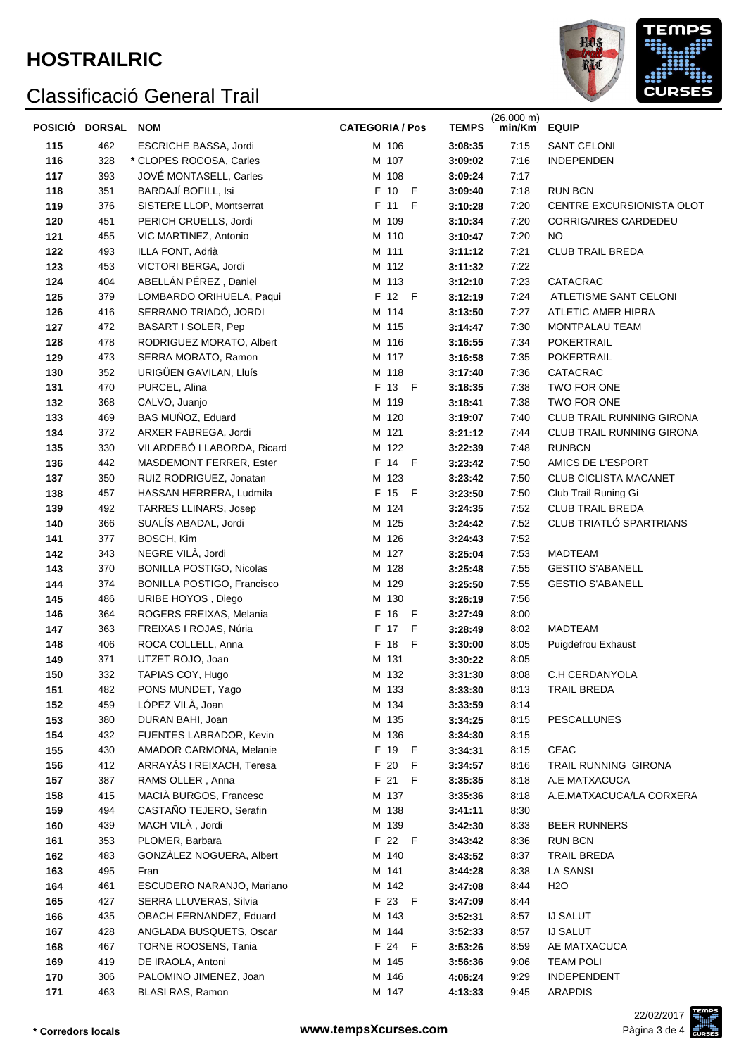

| <b>POSICIÓ</b> | <b>DORSAL</b> | <b>NOM</b>                                          | <b>CATEGORIA / Pos</b> | <b>TEMPS</b>       | (26.000 m)<br>min/Km | <b>EQUIP</b>                               |
|----------------|---------------|-----------------------------------------------------|------------------------|--------------------|----------------------|--------------------------------------------|
| 115            | 462           | <b>ESCRICHE BASSA, Jordi</b>                        | M 106                  | 3:08:35            | 7:15                 | <b>SANT CELONI</b>                         |
| 116            | 328           | * CLOPES ROCOSA, Carles                             | M 107                  | 3:09:02            | 7:16                 | <b>INDEPENDEN</b>                          |
| 117            | 393           | JOVÉ MONTASELL, Carles                              | M 108                  | 3:09:24            | 7:17                 |                                            |
| 118            | 351           | BARDAJÍ BOFILL, Isi                                 | F 10<br>$-F$           | 3:09:40            | 7:18                 | <b>RUN BCN</b>                             |
| 119            | 376           | SISTERE LLOP, Montserrat                            | F 11<br>F              | 3:10:28            | 7:20                 | CENTRE EXCURSIONISTA OLOT                  |
| 120            | 451           | PERICH CRUELLS, Jordi                               | M 109                  | 3:10:34            | 7:20                 | <b>CORRIGAIRES CARDEDEU</b>                |
| 121            | 455           | VIC MARTINEZ, Antonio                               | M 110                  | 3:10:47            | 7:20                 | <b>NO</b>                                  |
| 122            | 493           | ILLA FONT, Adrià                                    | M 111                  | 3:11:12            | 7:21                 | <b>CLUB TRAIL BREDA</b>                    |
| 123            | 453           | VICTORI BERGA, Jordi                                | M 112                  | 3:11:32            | 7:22                 |                                            |
| 124            | 404           | ABELLÁN PÉREZ, Daniel                               | M 113                  | 3:12:10            | 7:23                 | CATACRAC                                   |
| 125            | 379           | LOMBARDO ORIHUELA, Paqui                            | F 12 F                 | 3:12:19            | 7:24                 | ATLETISME SANT CELONI                      |
| 126            | 416           | SERRANO TRIADÓ, JORDI                               | M 114                  | 3:13:50            | 7:27                 | ATLETIC AMER HIPRA                         |
| 127            | 472           | BASART I SOLER, Pep                                 | M 115                  | 3:14:47            | 7:30                 | MONTPALAU TEAM                             |
| 128            | 478           | RODRIGUEZ MORATO, Albert                            | M 116                  | 3:16:55            | 7:34                 | POKERTRAIL                                 |
| 129            | 473           | SERRA MORATO, Ramon                                 | M 117                  | 3:16:58            | 7:35                 | POKERTRAIL                                 |
| 130            | 352           | URIGÜEN GAVILAN, Lluís                              | M 118                  | 3:17:40            | 7:36                 | CATACRAC                                   |
| 131            | 470           | PURCEL, Alina                                       | F 13 F                 | 3:18:35            | 7:38                 | TWO FOR ONE                                |
| 132            | 368           | CALVO, Juanjo                                       | M 119                  | 3:18:41            | 7:38                 | TWO FOR ONE                                |
| 133            | 469           | BAS MUÑOZ, Eduard                                   | M 120                  | 3:19:07            | 7:40                 | CLUB TRAIL RUNNING GIRONA                  |
| 134            | 372<br>330    | ARXER FABREGA, Jordi<br>VILARDEBÓ I LABORDA, Ricard | M 121<br>M 122         | 3:21:12            | 7:44<br>7:48         | CLUB TRAIL RUNNING GIRONA<br><b>RUNBCN</b> |
| 135<br>136     | 442           | MASDEMONT FERRER, Ester                             | F 14 F                 | 3:22:39<br>3:23:42 | 7:50                 | AMICS DE L'ESPORT                          |
| 137            | 350           | RUIZ RODRIGUEZ, Jonatan                             | M 123                  | 3:23:42            | 7:50                 | CLUB CICLISTA MACANET                      |
| 138            | 457           | HASSAN HERRERA, Ludmila                             | F 15 F                 | 3:23:50            | 7:50                 | Club Trail Runing Gi                       |
| 139            | 492           | <b>TARRES LLINARS, Josep</b>                        | M 124                  | 3:24:35            | 7:52                 | <b>CLUB TRAIL BREDA</b>                    |
| 140            | 366           | SUALÍS ABADAL, Jordi                                | M 125                  | 3:24:42            | 7:52                 | CLUB TRIATLÓ SPARTRIANS                    |
| 141            | 377           | BOSCH, Kim                                          | M 126                  | 3:24:43            | 7:52                 |                                            |
| 142            | 343           | NEGRE VILÀ, Jordi                                   | M 127                  | 3:25:04            | 7:53                 | <b>MADTEAM</b>                             |
| 143            | 370           | <b>BONILLA POSTIGO, Nicolas</b>                     | M 128                  | 3:25:48            | 7:55                 | <b>GESTIO S'ABANELL</b>                    |
| 144            | 374           | BONILLA POSTIGO, Francisco                          | M 129                  | 3:25:50            | 7:55                 | <b>GESTIO S'ABANELL</b>                    |
| 145            | 486           | URIBE HOYOS, Diego                                  | M 130                  | 3:26:19            | 7:56                 |                                            |
| 146            | 364           | ROGERS FREIXAS, Melania                             | F 16<br>F              | 3:27:49            | 8:00                 |                                            |
| 147            | 363           | FREIXAS I ROJAS, Núria                              | F 17<br>$\mathsf{F}$   | 3:28:49            | 8:02                 | MADTEAM                                    |
| 148            | 406           | ROCA COLLELL, Anna                                  | F 18<br>F              | 3:30:00            | 8:05                 | Puigdefrou Exhaust                         |
| 149            | 371           | UTZET ROJO, Joan                                    | M 131                  | 3:30:22            | 8:05                 |                                            |
| 150            | 332           | TAPIAS COY, Hugo                                    | M 132                  | 3:31:30            | 8:08                 | C.H CERDANYOLA                             |
| 151            | 482           | PONS MUNDET, Yago                                   | M 133                  | 3:33:30            | 8:13                 | <b>TRAIL BREDA</b>                         |
| 152            | 459           | LÓPEZ VILÀ, Joan                                    | M 134                  | 3:33:59            | 8:14                 |                                            |
| 153            | 380           | DURAN BAHI, Joan                                    | M 135                  | 3:34:25            | 8:15                 | <b>PESCALLUNES</b>                         |
| 154            | 432<br>430    | FUENTES LABRADOR, Kevin<br>AMADOR CARMONA, Melanie  | M 136<br>F 19<br>- F   | 3:34:30<br>3:34:31 | 8:15<br>8:15         | CEAC                                       |
| 155<br>156     | 412           | ARRAYÁS I REIXACH, Teresa                           | F 20<br>F              | 3:34:57            | 8:16                 | TRAIL RUNNING GIRONA                       |
| 157            | 387           | RAMS OLLER, Anna                                    | F 21 F                 | 3:35:35            | 8:18                 | A.E MATXACUCA                              |
| 158            | 415           | MACIÀ BURGOS, Francesc                              | M 137                  | 3:35:36            | 8:18                 | A.E.MATXACUCA/LA CORXERA                   |
| 159            | 494           | CASTAÑO TEJERO, Serafin                             | M 138                  | 3:41:11            | 8:30                 |                                            |
| 160            | 439           | MACH VILÀ, Jordi                                    | M 139                  | 3:42:30            | 8:33                 | <b>BEER RUNNERS</b>                        |
| 161            | 353           | PLOMER, Barbara                                     | F 22 F                 | 3:43:42            | 8:36                 | <b>RUN BCN</b>                             |
| 162            | 483           | GONZÀLEZ NOGUERA, Albert                            | M 140                  | 3:43:52            | 8:37                 | <b>TRAIL BREDA</b>                         |
| 163            | 495           | Fran                                                | M 141                  | 3:44:28            | 8:38                 | LA SANSI                                   |
| 164            | 461           | ESCUDERO NARANJO, Mariano                           | M 142                  | 3:47:08            | 8:44                 | H <sub>2</sub> O                           |
| 165            | 427           | SERRA LLUVERAS, Silvia                              | F 23 F                 | 3:47:09            | 8:44                 |                                            |
| 166            | 435           | OBACH FERNANDEZ, Eduard                             | M 143                  | 3:52:31            | 8:57                 | <b>IJ SALUT</b>                            |
| 167            | 428           | ANGLADA BUSQUETS, Oscar                             | M 144                  | 3:52:33            | 8:57                 | <b>IJ SALUT</b>                            |
| 168            | 467           | <b>TORNE ROOSENS, Tania</b>                         | F 24 F                 | 3:53:26            | 8:59                 | AE MATXACUCA                               |
| 169            | 419           | DE IRAOLA, Antoni                                   | M 145                  | 3:56:36            | 9:06                 | <b>TEAM POLI</b>                           |
| 170            | 306           | PALOMINO JIMENEZ, Joan                              | M 146                  | 4:06:24            | 9:29                 | INDEPENDENT                                |
| 171            | 463           | BLASI RAS, Ramon                                    | M 147                  | 4:13:33            | 9:45                 | <b>ARAPDIS</b>                             |